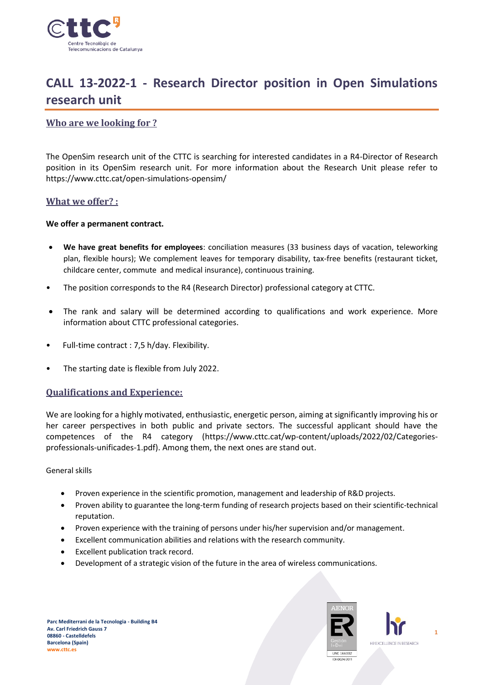

# **CALL 13-2022-1 - Research Director position in Open Simulations research unit**

## **Who are we looking for ?**

The OpenSim research unit of the CTTC is searching for interested candidates in a R4-Director of Research position in its OpenSim research unit. For more information about the Research Unit please refer to https://www.cttc.cat/open-simulations-opensim/

#### **What we offer? :**

#### **We offer a permanent contract.**

- **We have great benefits for employees**: conciliation measures (33 business days of vacation, teleworking plan, flexible hours); We complement leaves for temporary disability, tax-free benefits (restaurant ticket, childcare center, commute and medical insurance), continuous training.
- The position corresponds to the R4 (Research Director) professional category at CTTC.
- The rank and salary will be determined according to qualifications and work experience. More information about CTTC professional categories.
- Full-time contract : 7,5 h/day. Flexibility.
- The starting date is flexible from July 2022.

## **Qualifications and Experience:**

We are looking for a highly motivated, enthusiastic, energetic person, aiming at significantly improving his or her career perspectives in both public and private sectors. The successful applicant should have the competences of the R4 category (https://www.cttc.cat/wp-content/uploads/2022/02/Categoriesprofessionals-unificades-1.pdf). Among them, the next ones are stand out.

General skills

- Proven experience in the scientific promotion, management and leadership of R&D projects.
- Proven ability to guarantee the long-term funding of research projects based on their scientific-technical reputation.
- Proven experience with the training of persons under his/her supervision and/or management.
- Excellent communication abilities and relations with the research community.
- Excellent publication track record.
- Development of a strategic vision of the future in the area of wireless communications.



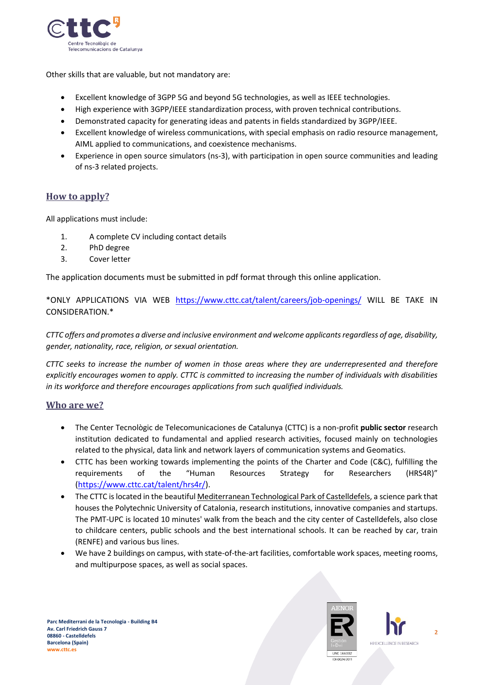

Other skills that are valuable, but not mandatory are:

- Excellent knowledge of 3GPP 5G and beyond 5G technologies, as well as IEEE technologies.
- High experience with 3GPP/IEEE standardization process, with proven technical contributions.
- Demonstrated capacity for generating ideas and patents in fields standardized by 3GPP/IEEE.
- Excellent knowledge of wireless communications, with special emphasis on radio resource management, AIML applied to communications, and coexistence mechanisms.
- Experience in open source simulators (ns-3), with participation in open source communities and leading of ns-3 related projects.

# **How to apply?**

All applications must include:

- 1. A complete CV including contact details
- 2. PhD degree
- 3. Cover letter

The application documents must be submitted in pdf format through this online application.

\*ONLY APPLICATIONS VIA WEB <https://www.cttc.cat/talent/careers/job-openings/> WILL BE TAKE IN CONSIDERATION.\*

*CTTC offers and promotes a diverse and inclusive environment and welcome applicants regardless of age, disability, gender, nationality, race, religion, or sexual orientation.*

*CTTC seeks to increase the number of women in those areas where they are underrepresented and therefore explicitly encourages women to apply. CTTC is committed to increasing the number of individuals with disabilities in its workforce and therefore encourages applications from such qualified individuals.*

## **Who are we?**

- The Center Tecnològic de Telecomunicaciones de Catalunya (CTTC) is a non-profit **public sector** research institution dedicated to fundamental and applied research activities, focused mainly on technologies related to the physical, data link and network layers of communication systems and Geomatics.
- CTTC has been working towards implementing the points of the Charter and Code (C&C), fulfilling the requirements of the "Human Resources Strategy for Researchers (HRS4R)" [\(https://www.cttc.cat/talent/hrs4r/\)](https://www.cttc.cat/talent/hrs4r/).
- The CTTC is located in the beautiful Mediterranean Technological Park of Castelldefels, a science park that houses the Polytechnic University of Catalonia, research institutions, innovative companies and startups. The PMT-UPC is located 10 minutes' walk from the beach and the city center of Castelldefels, also close to childcare centers, public schools and the best international schools. It can be reached by car, train (RENFE) and various bus lines.
- We have 2 buildings on campus, with state-of-the-art facilities, comfortable work spaces, meeting rooms, and multipurpose spaces, as well as social spaces.



**2** HR EXCELLENCE IN RESEARCH